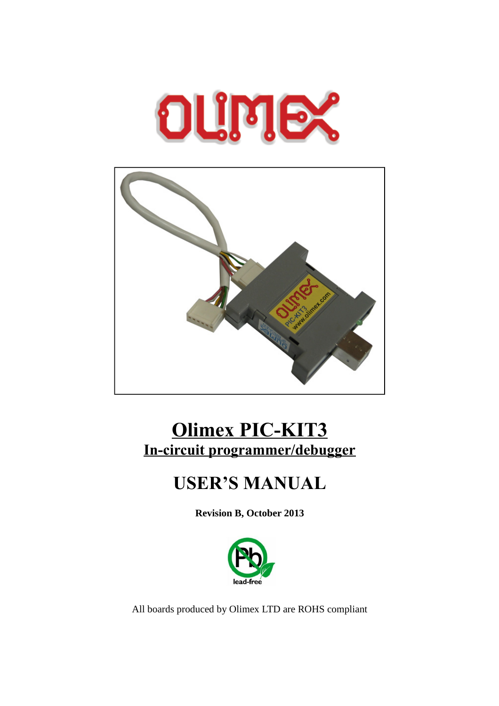



# **Olimex PIC-KIT3 In-circuit programmer/debugger**

# **USER'S MANUAL**

**Revision B, October 2013**



All boards produced by Olimex LTD are ROHS compliant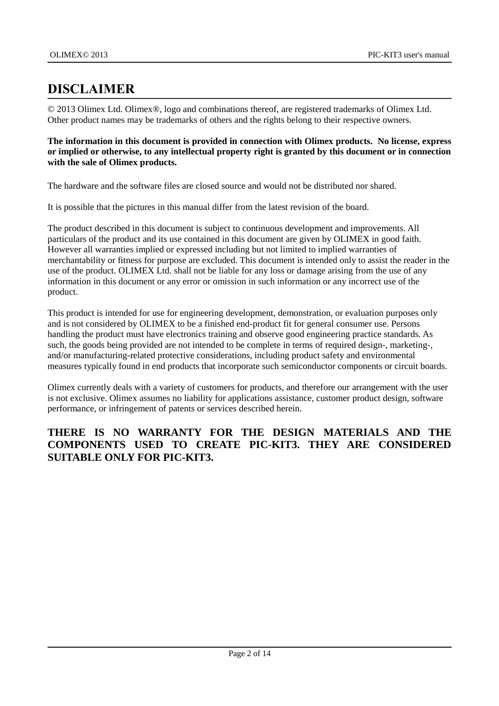### <span id="page-1-0"></span>**DISCLAIMER**

© 2013 Olimex Ltd. Olimex®, logo and combinations thereof, are registered trademarks of Olimex Ltd. Other product names may be trademarks of others and the rights belong to their respective owners.

#### **The information in this document is provided in connection with Olimex products. No license, express or implied or otherwise, to any intellectual property right is granted by this document or in connection with the sale of Olimex products.**

The hardware and the software files are closed source and would not be distributed nor shared.

It is possible that the pictures in this manual differ from the latest revision of the board.

The product described in this document is subject to continuous development and improvements. All particulars of the product and its use contained in this document are given by OLIMEX in good faith. However all warranties implied or expressed including but not limited to implied warranties of merchantability or fitness for purpose are excluded. This document is intended only to assist the reader in the use of the product. OLIMEX Ltd. shall not be liable for any loss or damage arising from the use of any information in this document or any error or omission in such information or any incorrect use of the product.

This product is intended for use for engineering development, demonstration, or evaluation purposes only and is not considered by OLIMEX to be a finished end-product fit for general consumer use. Persons handling the product must have electronics training and observe good engineering practice standards. As such, the goods being provided are not intended to be complete in terms of required design-, marketing-, and/or manufacturing-related protective considerations, including product safety and environmental measures typically found in end products that incorporate such semiconductor components or circuit boards.

Olimex currently deals with a variety of customers for products, and therefore our arrangement with the user is not exclusive. Olimex assumes no liability for applications assistance, customer product design, software performance, or infringement of patents or services described herein.

#### **THERE IS NO WARRANTY FOR THE DESIGN MATERIALS AND THE COMPONENTS USED TO CREATE PIC-KIT3. THEY ARE CONSIDERED SUITABLE ONLY FOR PIC-KIT3.**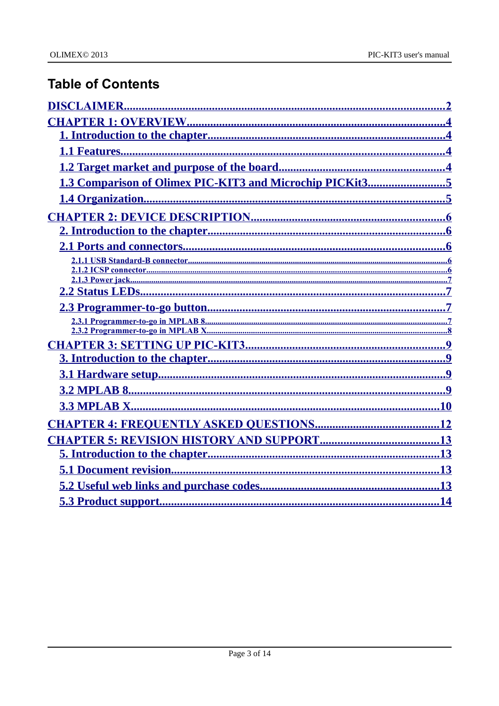## **Table of Contents**

| 1.3 Comparison of Olimex PIC-KIT3 and Microchip PICKit35 |
|----------------------------------------------------------|
|                                                          |
|                                                          |
|                                                          |
|                                                          |
|                                                          |
|                                                          |
|                                                          |
|                                                          |
|                                                          |
|                                                          |
|                                                          |
|                                                          |
|                                                          |
|                                                          |
|                                                          |
|                                                          |
|                                                          |
|                                                          |
|                                                          |
|                                                          |
|                                                          |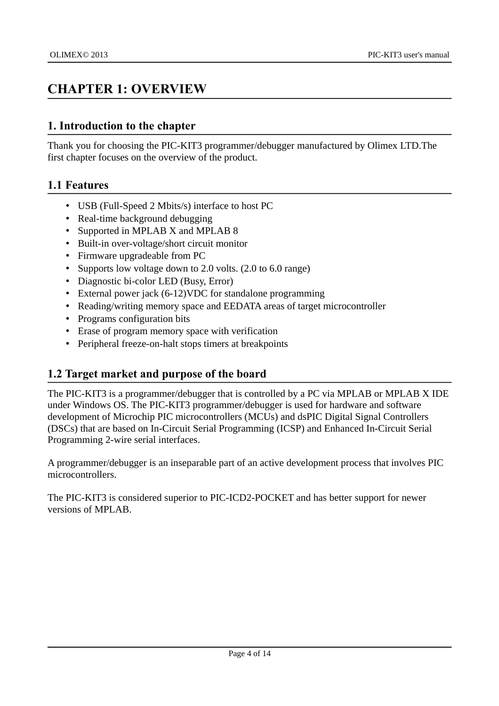### <span id="page-3-3"></span>**CHAPTER 1: OVERVIEW**

#### <span id="page-3-2"></span>**1. Introduction to the chapter**

Thank you for choosing the PIC-KIT3 programmer/debugger manufactured by Olimex LTD.The first chapter focuses on the overview of the product.

#### <span id="page-3-1"></span>**1.1 Features**

- USB (Full-Speed 2 Mbits/s) interface to host PC
- Real-time background debugging
- Supported in MPLAB X and MPLAB 8
- Built-in over-voltage/short circuit monitor
- Firmware upgradeable from PC
- Supports low voltage down to 2.0 volts. (2.0 to 6.0 range)
- Diagnostic bi-color LED (Busy, Error)
- External power jack (6-12)VDC for standalone programming
- Reading/writing memory space and EEDATA areas of target microcontroller
- Programs configuration bits
- Erase of program memory space with verification
- Peripheral freeze-on-halt stops timers at breakpoints

#### <span id="page-3-0"></span>**1.2 Target market and purpose of the board**

The PIC-KIT3 is a programmer/debugger that is controlled by a PC via MPLAB or MPLAB X IDE under Windows OS. The PIC-KIT3 programmer/debugger is used for hardware and software development of Microchip PIC microcontrollers (MCUs) and dsPIC Digital Signal Controllers (DSCs) that are based on In-Circuit Serial Programming (ICSP) and Enhanced In-Circuit Serial Programming 2-wire serial interfaces.

A programmer/debugger is an inseparable part of an active development process that involves PIC microcontrollers.

The PIC-KIT3 is considered superior to PIC-ICD2-POCKET and has better support for newer versions of MPLAB.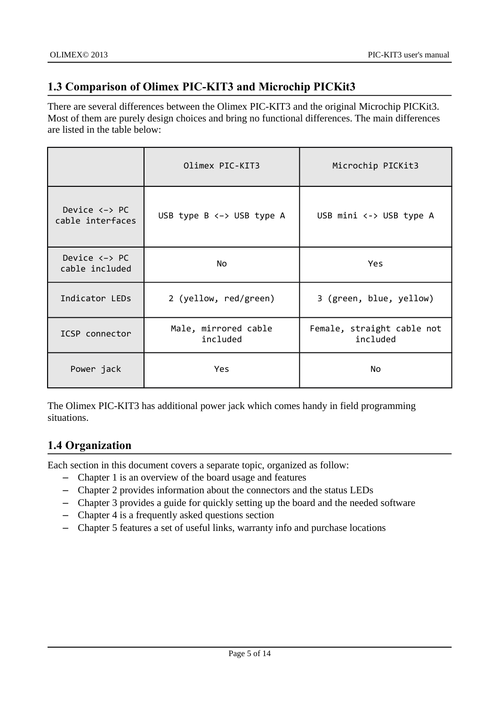### <span id="page-4-1"></span>**1.3 Comparison of Olimex PIC-KIT3 and Microchip PICKit3**

There are several differences between the Olimex PIC-KIT3 and the original Microchip PICKit3. Most of them are purely design choices and bring no functional differences. The main differences are listed in the table below:

|                                                    | Olimex PIC-KIT3                    | Microchip PICKit3                      |  |
|----------------------------------------------------|------------------------------------|----------------------------------------|--|
| Device $\leftarrow$ PC<br>cable interfaces         | USB type $B \leftarrow$ USB type A | USB mini <-> USB type A                |  |
| Device $\leftarrow$ PC<br>cable included           | No                                 | <b>Yes</b>                             |  |
| Indicator LEDs                                     | 2 (yellow, red/green)              | 3 (green, blue, yellow)                |  |
| Male, mirrored cable<br>ICSP connector<br>included |                                    | Female, straight cable not<br>included |  |
| Power jack                                         | <b>Yes</b>                         | <b>No</b>                              |  |

The Olimex PIC-KIT3 has additional power jack which comes handy in field programming situations.

### <span id="page-4-0"></span>**1.4 Organization**

Each section in this document covers a separate topic, organized as follow:

- Chapter 1 is an overview of the board usage and features
- Chapter 2 provides information about the connectors and the status LEDs
- Chapter 3 provides a guide for quickly setting up the board and the needed software
- Chapter 4 is a frequently asked questions section
- Chapter 5 features a set of useful links, warranty info and purchase locations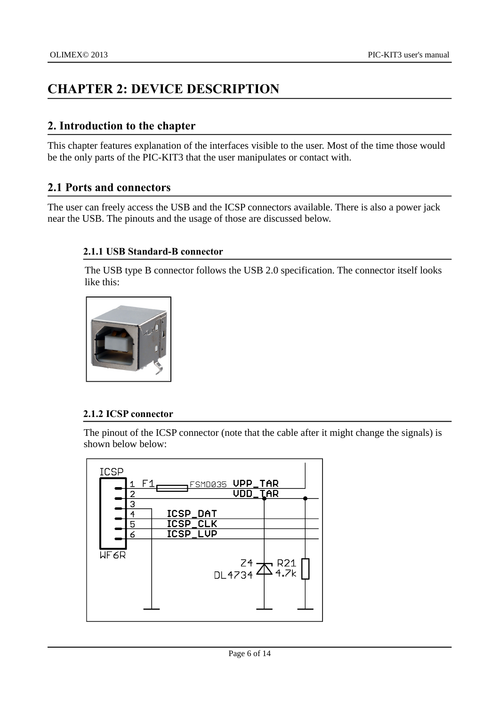### <span id="page-5-4"></span>**CHAPTER 2: DEVICE DESCRIPTION**

#### <span id="page-5-3"></span>**2. Introduction to the chapter**

This chapter features explanation of the interfaces visible to the user. Most of the time those would be the only parts of the PIC-KIT3 that the user manipulates or contact with.

#### <span id="page-5-2"></span>**2.1 Ports and connectors**

The user can freely access the USB and the ICSP connectors available. There is also a power jack near the USB. The pinouts and the usage of those are discussed below.

#### <span id="page-5-1"></span>**2.1.1 USB Standard-B connector**

The USB type B connector follows the USB 2.0 specification. The connector itself looks like this:



#### <span id="page-5-0"></span>**2.1.2 ICSP connector**

The pinout of the ICSP connector (note that the cable after it might change the signals) is shown below below:

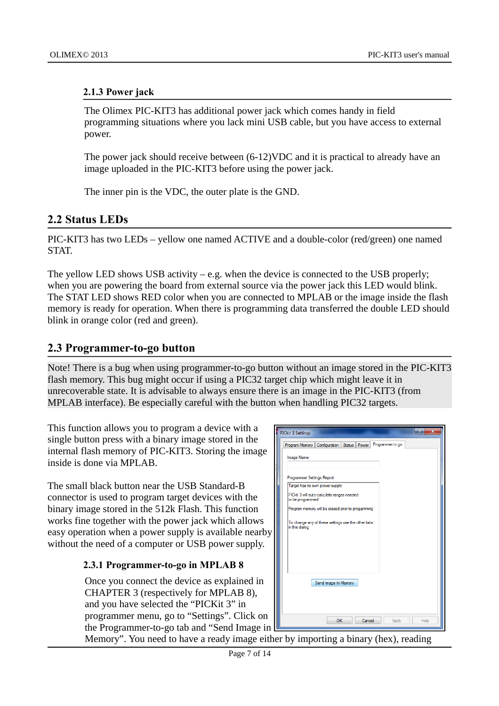#### <span id="page-6-3"></span>**2.1.3 Power jack**

The Olimex PIC-KIT3 has additional power jack which comes handy in field programming situations where you lack mini USB cable, but you have access to external power.

The power jack should receive between (6-12)VDC and it is practical to already have an image uploaded in the PIC-KIT3 before using the power jack.

The inner pin is the VDC, the outer plate is the GND.

#### <span id="page-6-2"></span>**2.2 Status LEDs**

PIC-KIT3 has two LEDs – yellow one named ACTIVE and a double-color (red/green) one named STAT.

The yellow LED shows USB activity  $-$  e.g. when the device is connected to the USB properly; when you are powering the board from external source via the power jack this LED would blink. The STAT LED shows RED color when you are connected to MPLAB or the image inside the flash memory is ready for operation. When there is programming data transferred the double LED should blink in orange color (red and green).

#### <span id="page-6-1"></span>**2.3 Programmer-to-go button**

Note! There is a bug when using programmer-to-go button without an image stored in the PIC-KIT3 flash memory. This bug might occur if using a PIC32 target chip which might leave it in unrecoverable state. It is advisable to always ensure there is an image in the PIC-KIT3 (from MPLAB interface). Be especially careful with the button when handling PIC32 targets.

This function allows you to program a device with a single button press with a binary image stored in the internal flash memory of PIC-KIT3. Storing the image inside is done via MPLAB.

The small black button near the USB Standard-B connector is used to program target devices with the binary image stored in the 512k Flash. This function works fine together with the power jack which allows easy operation when a power supply is available nearby without the need of a computer or USB power supply.

#### <span id="page-6-0"></span>**2.3.1 Programmer-to-go in MPLAB 8**

Once you connect the device as explained in CHAPTER 3 (respectively for MPLAB 8), and you have selected the "PICKit 3" in programmer menu, go to "Settings". Click on the Programmer-to-go tab and "Send Image in

| 9<br>$\overline{\mathbf{x}}$<br><b>PICkit 3 Settings</b>               |
|------------------------------------------------------------------------|
| Programmer to go<br>Status<br>Configuration<br>Power<br>Program Memory |
| Image Name:                                                            |
|                                                                        |
| Programmer Settings Report:                                            |
| Target has its own power supply                                        |
| PICkit 3 will auto-calculate ranges needed<br>to be programmed         |
| Program memory will be erased prior to progamming                      |
| To change any of these settings use the other tabs<br>in this dialog   |
| Send Image In Memory                                                   |
| <b>OK</b><br>Cancel<br>Help<br>Apply                                   |

Memory". You need to have a ready image either by importing a binary (hex), reading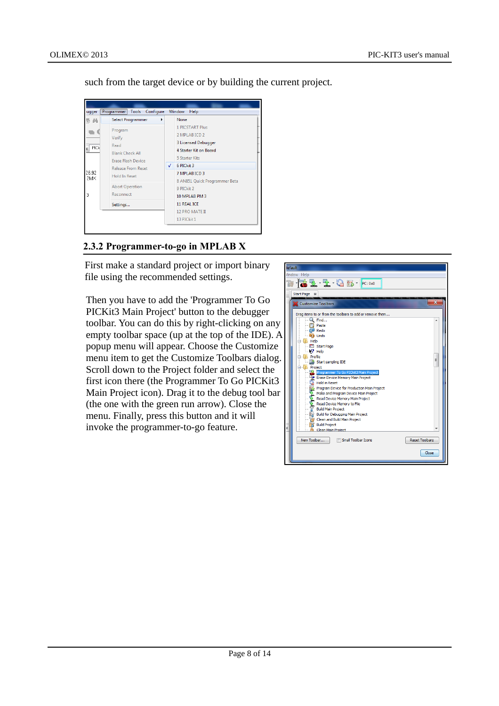such from the target device or by building the current project.



#### <span id="page-7-0"></span>**2.3.2 Programmer-to-go in MPLAB X**

First make a standard project or import binary file using the recommended settings.

Then you have to add the 'Programmer To Go PICKit3 Main Project' button to the debugger toolbar. You can do this by right-clicking on any empty toolbar space (up at the top of the IDE). A popup menu will appear. Choose the Customize menu item to get the Customize Toolbars dialog. Scroll down to the Project folder and select the first icon there (the Programmer To Go PICKit3 Main Project icon). Drag it to the debug tool bar (the one with the green run arrow). Close the menu. Finally, press this button and it will invoke the programmer-to-go feature.

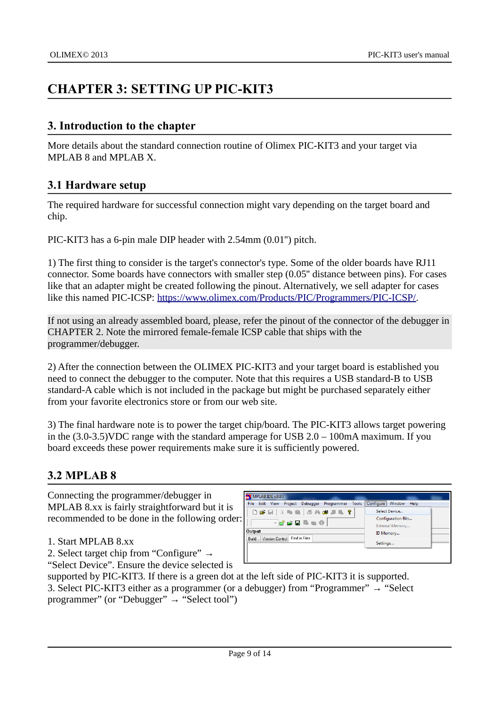## <span id="page-8-3"></span>**CHAPTER 3: SETTING UP PIC-KIT3**

#### <span id="page-8-2"></span>**3. Introduction to the chapter**

More details about the standard connection routine of Olimex PIC-KIT3 and your target via MPLAB 8 and MPLAB X.

#### <span id="page-8-1"></span>**3.1 Hardware setup**

The required hardware for successful connection might vary depending on the target board and chip.

PIC-KIT3 has a 6-pin male DIP header with 2.54mm (0.01'') pitch.

1) The first thing to consider is the target's connector's type. Some of the older boards have RJ11 connector. Some boards have connectors with smaller step (0.05'' distance between pins). For cases like that an adapter might be created following the pinout. Alternatively, we sell adapter for cases like this named PIC-ICSP: [https://www.olimex.com/Products/PIC/Programmers/PIC-ICSP/.](https://www.olimex.com/Products/PIC/Programmers/PIC-ICSP/)

If not using an already assembled board, please, refer the pinout of the connector of the debugger in CHAPTER 2. Note the mirrored female-female ICSP cable that ships with the programmer/debugger.

2) After the connection between the OLIMEX PIC-KIT3 and your target board is established you need to connect the debugger to the computer. Note that this requires a USB standard-B to USB standard-A cable which is not included in the package but might be purchased separately either from your favorite electronics store or from our web site.

3) The final hardware note is to power the target chip/board. The PIC-KIT3 allows target powering in the (3.0-3.5)VDC range with the standard amperage for USB 2.0 – 100mA maximum. If you board exceeds these power requirements make sure it is sufficiently powered.

#### <span id="page-8-0"></span>**3.2 MPLAB 8**

Connecting the programmer/debugger in MPLAB 8.xx is fairly straightforward but it is recommended to be done in the following order

- 1. Start MPLAB 8.xx
- 2. Select target chip from "Configure" →

"Select Device". Ensure the device selected is

|    | MPLAB IDE v8.83                                        |                                              |
|----|--------------------------------------------------------|----------------------------------------------|
|    | Project Debugger Programmer<br>File Edit View<br>Tools | Window Help<br>Configure                     |
|    | D @ E   & D @   @ A @ J 5, ?                           | Select Device                                |
| r: | HFGB⊪∎0                                                | <b>Configuration Bits</b><br>External Memory |
|    | Output                                                 | ID Memory                                    |
|    | Find in Files<br>Version Control<br>Build              |                                              |
|    |                                                        | Settings                                     |
|    |                                                        |                                              |
|    |                                                        |                                              |

supported by PIC-KIT3. If there is a green dot at the left side of PIC-KIT3 it is supported. 3. Select PIC-KIT3 either as a programmer (or a debugger) from "Programmer"  $\rightarrow$  "Select programmer" (or "Debugger" → "Select tool")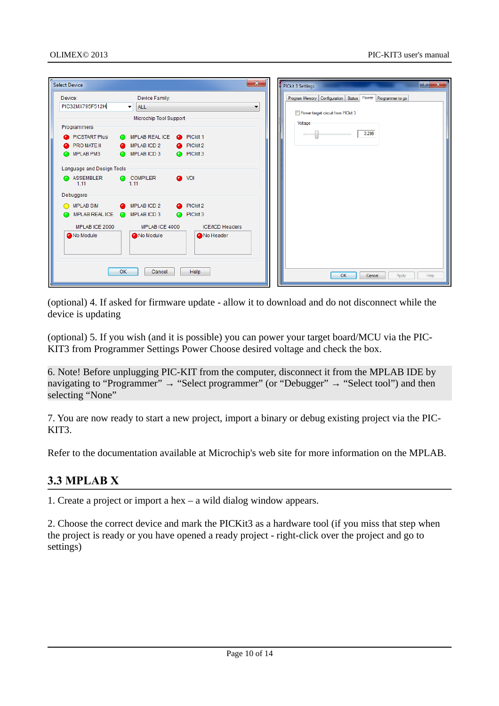| <b>Select Device</b>                         |                                           | $\mathbf{x}$             | $2 -$<br>$\mathbf{x}$<br><b>PICkit 3 Settings</b>                 |
|----------------------------------------------|-------------------------------------------|--------------------------|-------------------------------------------------------------------|
| Device:                                      | Device Family:                            |                          | Power Programmer to go<br>Program Memory   Configuration   Status |
| PIC32MX795F512H                              | <b>ALL</b><br>$\overline{\phantom{a}}$    | $\overline{\phantom{a}}$ | Power target circuit from PICkit 3                                |
|                                              | Microchip Tool Support                    |                          | Voltage                                                           |
| Programmers                                  |                                           |                          | 3.299                                                             |
| PICSTART Plus                                | <b>O</b> MPLAB REAL ICE <b>C</b> PICkit 1 |                          |                                                                   |
| <b>PROMATE II</b><br><b>O</b> MPLAB PM3      | MPLABICD 2<br><b>MPLABICD3</b>            | <b>O</b> PICkit 2        |                                                                   |
|                                              |                                           | <b>O</b> PICkit 3        |                                                                   |
| Language and Design Tools                    |                                           |                          |                                                                   |
| ASSEMBLER<br>1.11                            | COMPILER<br>1.11                          | <b>a</b> VDI             |                                                                   |
| Debuggers                                    |                                           |                          |                                                                   |
| <b>O</b> MPLAB SIM                           | <b>A</b> MPLABICD 2                       | PICkit 2                 |                                                                   |
| <b>O</b> MPLAB REAL ICE <b>O</b> MPLAB ICD 3 |                                           | <b>O</b> PICkit 3        |                                                                   |
| MPLAB ICE 2000                               | MPLAB ICE 4000                            | <b>ICE/ICD Headers</b>   |                                                                   |
| No Module                                    | No Module                                 | No Header                |                                                                   |
|                                              | OK<br>Cancel                              | Help                     | <b>OK</b><br>Help<br>Cancel<br>Apply                              |

(optional) 4. If asked for firmware update - allow it to download and do not disconnect while the device is updating

(optional) 5. If you wish (and it is possible) you can power your target board/MCU via the PIC-KIT3 from Programmer Settings Power Choose desired voltage and check the box.

6. Note! Before unplugging PIC-KIT from the computer, disconnect it from the MPLAB IDE by navigating to "Programmer"  $\rightarrow$  "Select programmer" (or "Debugger"  $\rightarrow$  "Select tool") and then selecting "None"

7. You are now ready to start a new project, import a binary or debug existing project via the PIC-KIT<sub>3</sub>.

Refer to the documentation available at Microchip's web site for more information on the MPLAB.

#### <span id="page-9-0"></span>**3.3 MPLAB X**

1. Create a project or import a hex – a wild dialog window appears.

2. Choose the correct device and mark the PICKit3 as a hardware tool (if you miss that step when the project is ready or you have opened a ready project - right-click over the project and go to settings)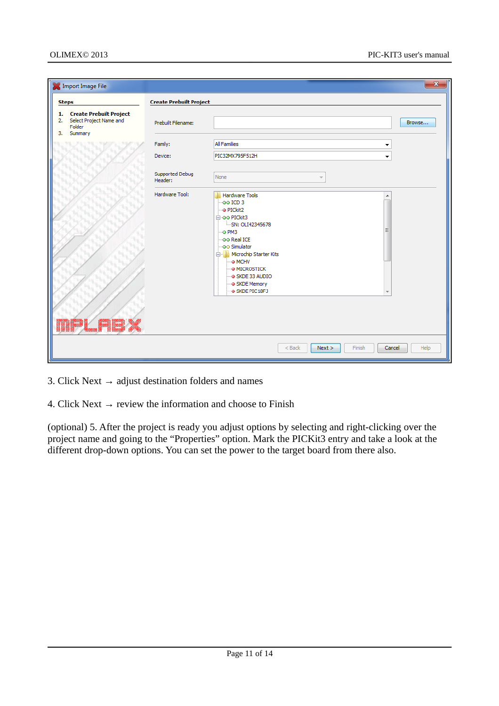|              | Import Image File                                                          |                                | $\mathbf{x}$                                                                                                                                                                                                                                                                                                                         |
|--------------|----------------------------------------------------------------------------|--------------------------------|--------------------------------------------------------------------------------------------------------------------------------------------------------------------------------------------------------------------------------------------------------------------------------------------------------------------------------------|
| <b>Steps</b> |                                                                            | <b>Create Prebuilt Project</b> |                                                                                                                                                                                                                                                                                                                                      |
| 2.<br>3.     | 1. Create Prebuilt Project<br>Select Project Name and<br>Folder<br>Summary | Prebuilt Filename:             | Browse                                                                                                                                                                                                                                                                                                                               |
|              |                                                                            | Family:                        | <b>All Families</b><br>۰                                                                                                                                                                                                                                                                                                             |
|              |                                                                            | Device:                        | PIC32MX795F512H<br>▼                                                                                                                                                                                                                                                                                                                 |
|              |                                                                            | Supported Debug<br>Header:     | None<br>$\overline{\mathcal{R}}$                                                                                                                                                                                                                                                                                                     |
| ▓▓▓▓         |                                                                            | Hardware Tool:                 | <b>Hardware Tools</b><br>۸<br>$\sim$ 00 ICD 3<br>$\bullet$ PICkit2<br><b>E-oo PICkit3</b><br>SN: OLI42345678<br>Ξ<br>$ \circ$ PM3<br>oo Real ICE<br>- o Simulator<br><b>E</b> . Microchip Starter Kits<br>$\rightarrow$ MCHV<br>$\bullet$ MICROSTICK<br>SKDE 33 AUDIO<br>- SKDE Memory<br>· SKDE PIC18FJ<br>$\overline{\phantom{a}}$ |
|              |                                                                            |                                | $<$ Back<br>Finish<br>Help<br>Next ><br>Cancel                                                                                                                                                                                                                                                                                       |

- 3. Click Next  $\rightarrow$  adjust destination folders and names
- 4. Click Next  $\rightarrow$  review the information and choose to Finish

(optional) 5. After the project is ready you adjust options by selecting and right-clicking over the project name and going to the "Properties" option. Mark the PICKit3 entry and take a look at the different drop-down options. You can set the power to the target board from there also.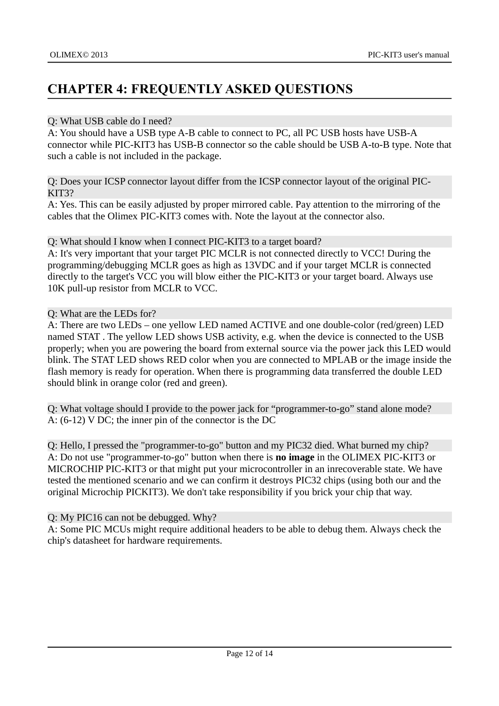### <span id="page-11-0"></span>**CHAPTER 4: FREQUENTLY ASKED QUESTIONS**

#### Q: What USB cable do I need?

A: You should have a USB type A-B cable to connect to PC, all PC USB hosts have USB-A connector while PIC-KIT3 has USB-B connector so the cable should be USB A-to-B type. Note that such a cable is not included in the package.

Q: Does your ICSP connector layout differ from the ICSP connector layout of the original PIC-KIT3?

A: Yes. This can be easily adjusted by proper mirrored cable. Pay attention to the mirroring of the cables that the Olimex PIC-KIT3 comes with. Note the layout at the connector also.

Q: What should I know when I connect PIC-KIT3 to a target board?

A: It's very important that your target PIC MCLR is not connected directly to VCC! During the programming/debugging MCLR goes as high as 13VDC and if your target MCLR is connected directly to the target's VCC you will blow either the PIC-KIT3 or your target board. Always use 10K pull-up resistor from MCLR to VCC.

#### Q: What are the LEDs for?

A: There are two LEDs – one yellow LED named ACTIVE and one double-color (red/green) LED named STAT . The yellow LED shows USB activity, e.g. when the device is connected to the USB properly; when you are powering the board from external source via the power jack this LED would blink. The STAT LED shows RED color when you are connected to MPLAB or the image inside the flash memory is ready for operation. When there is programming data transferred the double LED should blink in orange color (red and green).

Q: What voltage should I provide to the power jack for "programmer-to-go" stand alone mode? A: (6-12) V DC; the inner pin of the connector is the DC

Q: Hello, I pressed the "programmer-to-go" button and my PIC32 died. What burned my chip? A: Do not use "programmer-to-go" button when there is **no image** in the OLIMEX PIC-KIT3 or MICROCHIP PIC-KIT3 or that might put your microcontroller in an inrecoverable state. We have tested the mentioned scenario and we can confirm it destroys PIC32 chips (using both our and the original Microchip PICKIT3). We don't take responsibility if you brick your chip that way.

#### Q: My PIC16 can not be debugged. Why?

A: Some PIC MCUs might require additional headers to be able to debug them. Always check the chip's datasheet for hardware requirements.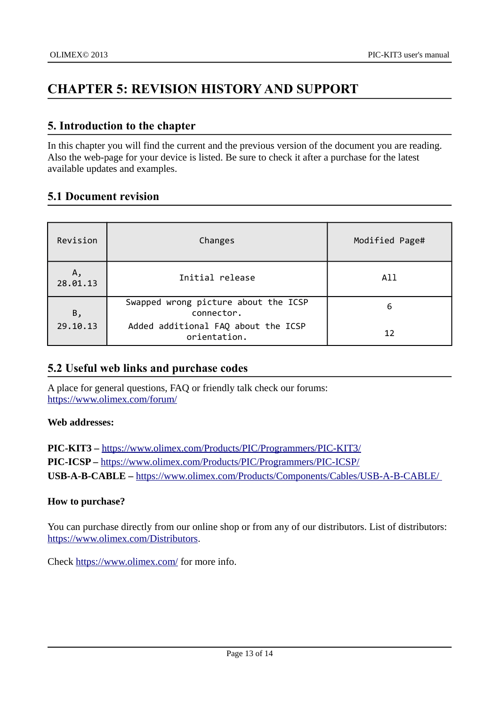### <span id="page-12-3"></span>**CHAPTER 5: REVISION HISTORY AND SUPPORT**

#### <span id="page-12-2"></span>**5. Introduction to the chapter**

In this chapter you will find the current and the previous version of the document you are reading. Also the web-page for your device is listed. Be sure to check it after a purchase for the latest available updates and examples.

#### <span id="page-12-1"></span>**5.1 Document revision**

| Revision       | Changes                                             | Modified Page# |
|----------------|-----------------------------------------------------|----------------|
| Α,<br>28.01.13 | Initial release                                     | All            |
| Β,             | Swapped wrong picture about the ICSP<br>connector.  | 6              |
| 29.10.13       | Added additional FAQ about the ICSP<br>orientation. | 12             |

#### <span id="page-12-0"></span>**5.2 Useful web links and purchase codes**

A place for general questions, FAQ or friendly talk check our forums: <https://www.olimex.com/forum/>

#### **Web addresses:**

**PIC-KIT3 –** <https://www.olimex.com/Products/PIC/Programmers/PIC-KIT3/> **PIC-ICSP –** <https://www.olimex.com/Products/PIC/Programmers/PIC-ICSP/> **USB-A-B-CABLE –** <https://www.olimex.com/Products/Components/Cables/USB-A-B-CABLE/>

#### **How to purchase?**

You can purchase directly from our online shop or from any of our distributors. List of distributors: [https://www.olimex.com/Distributors.](https://www.olimex.com/Distributors)

Check<https://www.olimex.com/>for more info.